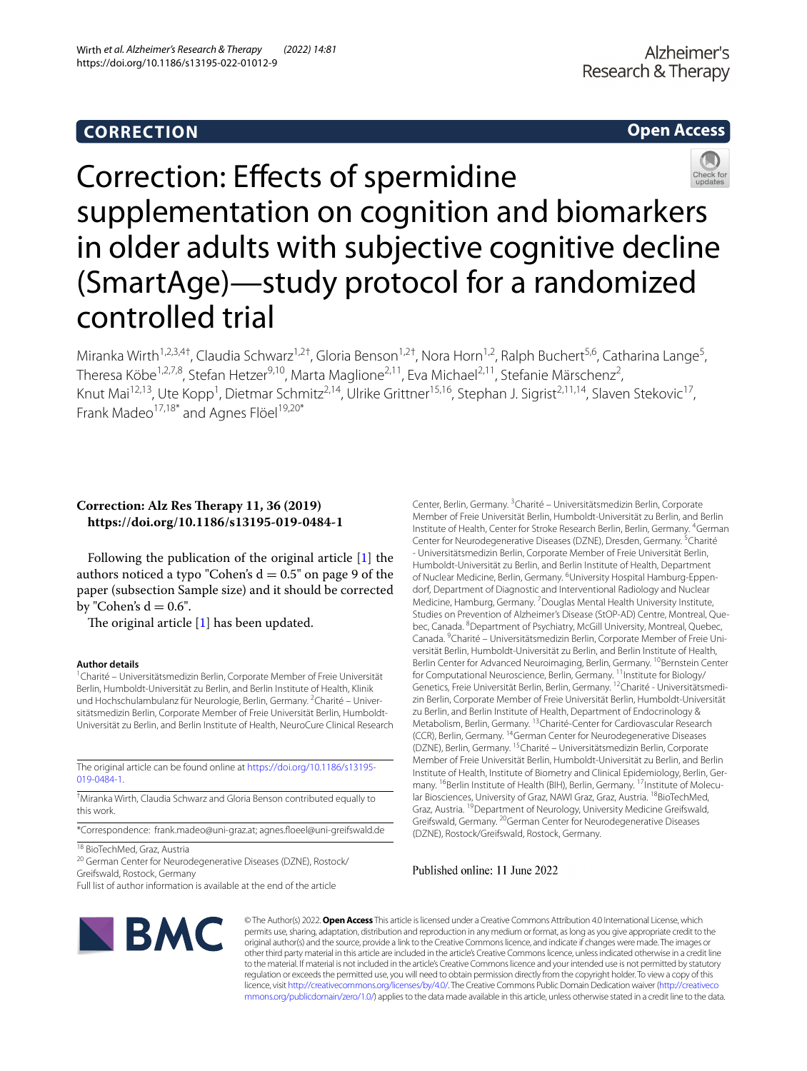## **CORRECTION**

## **Open Access**



# Correction: Efects of spermidine supplementation on cognition and biomarkers in older adults with subjective cognitive decline (SmartAge)—study protocol for a randomized controlled trial

Miranka Wirth<sup>1,2,3,4†</sup>, Claudia Schwarz<sup>1,2†</sup>, Gloria Benson<sup>1,2†</sup>, Nora Horn<sup>1,2</sup>, Ralph Buchert<sup>5,6</sup>, Catharina Lange<sup>5</sup>, Theresa Köbe<sup>1,2,7,8</sup>, Stefan Hetzer<sup>9,10</sup>, Marta Maglione<sup>2,11</sup>, Eva Michael<sup>2,11</sup>, Stefanie Märschenz<sup>2</sup>, Knut Mai<sup>12,13</sup>, Ute Kopp<sup>1</sup>, Dietmar Schmitz<sup>2,14</sup>, Ulrike Grittner<sup>15,16</sup>, Stephan J. Sigrist<sup>2,11,14</sup>, Slaven Stekovic<sup>17</sup>, Frank Madeo<sup>17,18\*</sup> and Agnes Flöel<sup>19,20\*</sup>

### **Correction: Alz Res Therapy 11, 36 (2019) https://doi.org/10.1186/s13195-019-0484-1**

Following the publication of the original article [\[1](#page-1-0)] the authors noticed a typo "Cohen's  $d = 0.5$ " on page 9 of the paper (subsection Sample size) and it should be corrected by "Cohen's  $d = 0.6$ ".

The original article  $[1]$  $[1]$  has been updated.

#### **Author details**

<sup>1</sup> Charité - Universitätsmedizin Berlin, Corporate Member of Freie Universität Berlin, Humboldt-Universität zu Berlin, and Berlin Institute of Health, Klinik und Hochschulambulanz für Neurologie, Berlin, Germany. <sup>2</sup>Charité - Universitätsmedizin Berlin, Corporate Member of Freie Universität Berlin, Humboldt-Universität zu Berlin, and Berlin Institute of Health, NeuroCure Clinical Research

The original article can be found online at [https://doi.org/10.1186/s13195-](https://doi.org/10.1186/s13195-019-0484-1) [019-0484-1](https://doi.org/10.1186/s13195-019-0484-1).

† Miranka Wirth, Claudia Schwarz and Gloria Benson contributed equally to this work.

\*Correspondence: frank.madeo@uni-graz.at; agnes.foeel@uni-greifswald.de

18 BioTechMed, Graz, Austria

20 German Center for Neurodegenerative Diseases (DZNE), Rostock/ Greifswald, Rostock, Germany

Full list of author information is available at the end of the article

Center, Berlin, Germany. <sup>3</sup> Charité - Universitätsmedizin Berlin, Corporate Member of Freie Universität Berlin, Humboldt-Universität zu Berlin, and Berlin Institute of Health, Center for Stroke Research Berlin, Berlin, Germany. <sup>4</sup>German Center for Neurodegenerative Diseases (DZNE), Dresden, Germany. <sup>5</sup>Charité - Universitätsmedizin Berlin, Corporate Member of Freie Universität Berlin, Humboldt-Universität zu Berlin, and Berlin Institute of Health, Department of Nuclear Medicine, Berlin, Germany. <sup>6</sup>University Hospital Hamburg-Eppendorf, Department of Diagnostic and Interventional Radiology and Nuclear Medicine, Hamburg, Germany. <sup>7</sup> Douglas Mental Health University Institute, Studies on Prevention of Alzheimer's Disease (StOP-AD) Centre, Montreal, Quebec, Canada. <sup>8</sup> Department of Psychiatry, McGill University, Montreal, Quebec, Canada. <sup>9</sup> Charité - Universitätsmedizin Berlin, Corporate Member of Freie Universität Berlin, Humboldt-Universität zu Berlin, and Berlin Institute of Health, Berlin Center for Advanced Neuroimaging, Berlin, Germany. <sup>10</sup>Bernstein Center for Computational Neuroscience, Berlin, Germany. <sup>11</sup>Institute for Biology/ Genetics, Freie Universität Berlin, Berlin, Germany. 12Charité - Universitätsmedizin Berlin, Corporate Member of Freie Universität Berlin, Humboldt-Universität zu Berlin, and Berlin Institute of Health, Department of Endocrinology & Metabolism, Berlin, Germany. 13Charité-Center for Cardiovascular Research (CCR), Berlin, Germany. 14German Center for Neurodegenerative Diseases (DZNE), Berlin, Germany. 15Charité – Universitätsmedizin Berlin, Corporate Member of Freie Universität Berlin, Humboldt-Universität zu Berlin, and Berlin Institute of Health, Institute of Biometry and Clinical Epidemiology, Berlin, Germany. <sup>16</sup>Berlin Institute of Health (BIH), Berlin, Germany. <sup>17</sup>Institute of Molecular Biosciences, University of Graz, NAWI Graz, Graz, Austria. <sup>18</sup>BioTechMed, Graz, Austria. <sup>19</sup>Department of Neurology, University Medicine Greifswald, Greifswald, Germany. 20German Center for Neurodegenerative Diseases (DZNE), Rostock/Greifswald, Rostock, Germany.

Published online: 11 June 2022



© The Author(s) 2022. **Open Access** This article is licensed under a Creative Commons Attribution 4.0 International License, which permits use, sharing, adaptation, distribution and reproduction in any medium or format, as long as you give appropriate credit to the original author(s) and the source, provide a link to the Creative Commons licence, and indicate if changes were made. The images or other third party material in this article are included in the article's Creative Commons licence, unless indicated otherwise in a credit line to the material. If material is not included in the article's Creative Commons licence and your intended use is not permitted by statutory regulation or exceeds the permitted use, you will need to obtain permission directly from the copyright holder. To view a copy of this licence, visit [http://creativecommons.org/licenses/by/4.0/.](http://creativecommons.org/licenses/by/4.0/) The Creative Commons Public Domain Dedication waiver ([http://creativeco](http://creativecommons.org/publicdomain/zero/1.0/) [mmons.org/publicdomain/zero/1.0/](http://creativecommons.org/publicdomain/zero/1.0/)) applies to the data made available in this article, unless otherwise stated in a credit line to the data.